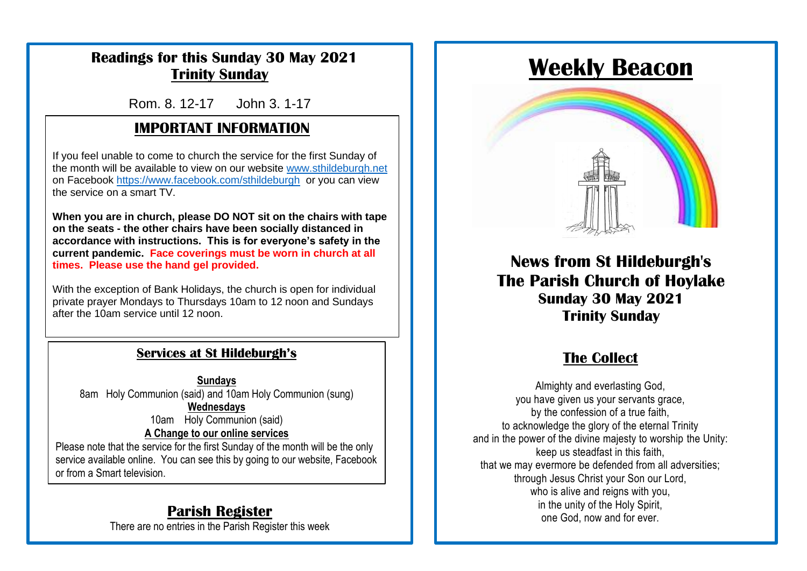### **Readings for this Sunday 30 May 2021 Trinity Sunday**

Rom. 8. 12-17 John 3. 1-17

# **IMPORTANT INFORMATION**

**Sunday Services at St Hildeburgh's** the service on a smart TV. If you feel unable to come to church the service for the first Sunday of the month will be available to view on our website [www.sthildeburgh.net](http://www.sthildeburgh.net/)  on Facebook<https://www.facebook.com/sthildeburgh>or you can view

on the seats - the other chairs have been socially distanced in<br>accordance with instructions. This is for everyone's safety in the **current pandemic. Face coverings must be worn in church at all times. Please use the hand gel provided. When you are in church, please DO NOT sit on the chairs with tape on the seats - the other chairs have been socially distanced in** 

|<br>| With the exception of Bank Holidays, the church is open for individual after the 10am service until 12 noon. private prayer Mondays to Thursdays 10am to 12 noon and Sundays

[www.sthildeburgh.org](http://www.sthildeburgh.org/)

# The Church Centre remains closed for the time being. **Services at St Hildeburgh's**

**Sundays** 8am Holy Communion (said) and 10am Holy Communion (sung) **Wednesdays** 10am Holy Communion (said) **A Change to our online services** Please note that the service for the first Sunday of the month will be the only

service available online. You can see this by going to our website, Facebook or from a Smart television.

### **Parish Register**

There are no entries in the Parish Register this week

# **Weekly Beacon**



**News from St Hildeburgh's The Parish Church of Hoylake Sunday 30 May 2021 Trinity Sunday**

# **The Collect**

Almighty and everlasting God, you have given us your servants grace, by the confession of a true faith, to acknowledge the glory of the eternal Trinity and in the power of the divine majesty to worship the Unity: keep us steadfast in this faith, that we may evermore be defended from all adversities; through Jesus Christ your Son our Lord, who is alive and reigns with you, in the unity of the Holy Spirit, one God, now and for ever.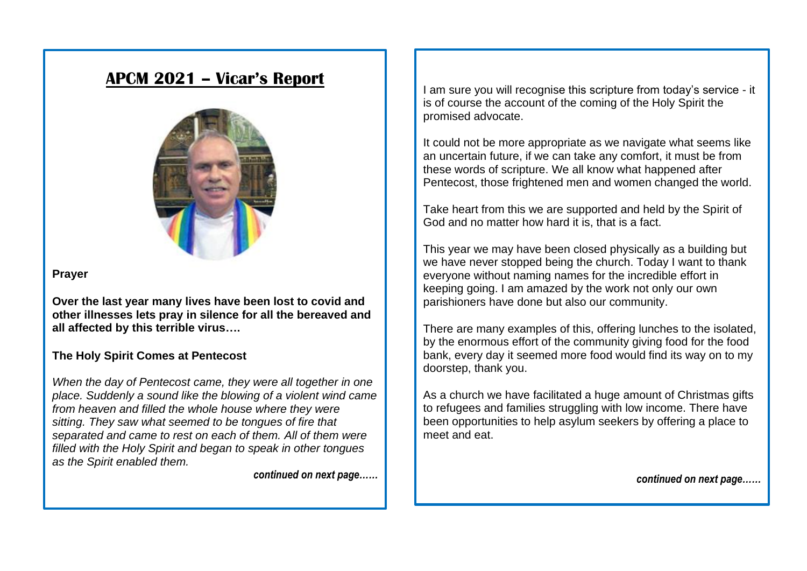# **APCM 2021 – Vicar's Report**



#### **Prayer**

**Over the last year many lives have been lost to covid and other illnesses lets pray in silence for all the bereaved and all affected by this terrible virus….**

#### **The Holy Spirit Comes at Pentecost**

*When the day of Pentecost came, they were all together in one place. Suddenly a sound like the blowing of a violent wind came from heaven and filled the whole house where they were sitting. They saw what seemed to be tongues of fire that separated and came to rest on each of them. All of them were filled with the Holy Spirit and began to speak in other tongues as the Spirit enabled them.*

*continued on next page……*

I am sure you will recognise this scripture from today's service - it is of course the account of the coming of the Holy Spirit the promised advocate.

It could not be more appropriate as we navigate what seems like an uncertain future, if we can take any comfort, it must be from these words of scripture. We all know what happened after Pentecost, those frightened men and women changed the world.

Take heart from this we are supported and held by the Spirit of God and no matter how hard it is, that is a fact.

This year we may have been closed physically as a building but we have never stopped being the church. Today I want to thank everyone without naming names for the incredible effort in keeping going. I am amazed by the work not only our own parishioners have done but also our community.

There are many examples of this, offering lunches to the isolated, by the enormous effort of the community giving food for the food bank, every day it seemed more food would find its way on to my doorstep, thank you.

As a church we have facilitated a huge amount of Christmas gifts to refugees and families struggling with low income. There have been opportunities to help asylum seekers by offering a place to meet and eat.

*continued on next page……*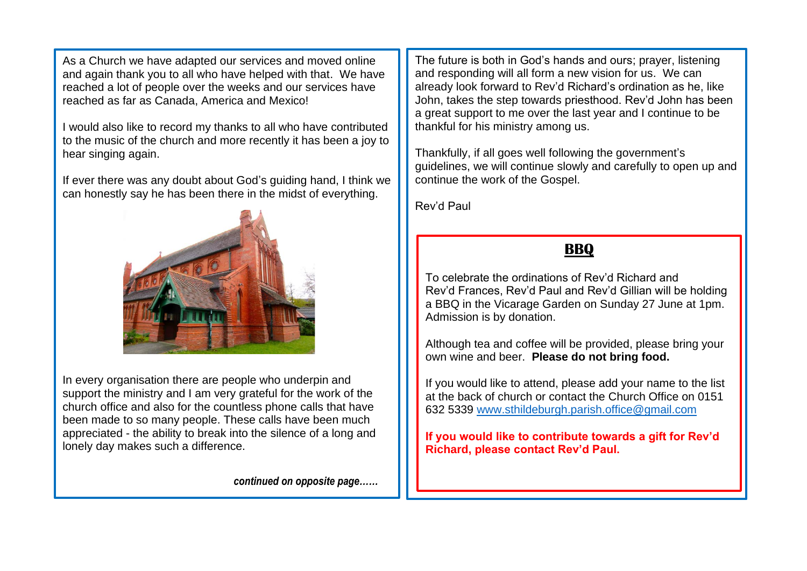As a Church we have adapted our services and moved online and again thank you to all who have helped with that. We have reached a lot of people over the weeks and our services have reached as far as Canada, America and Mexico!

I would also like to record my thanks to all who have contributed to the music of the church and more recently it has been a joy to hear singing again.

If ever there was any doubt about God's guiding hand, I think we can honestly say he has been there in the midst of everything.



In every organisation there are people who underpin and support the ministry and I am very grateful for the work of the church office and also for the countless phone calls that have been made to so many people. These calls have been much appreciated - the ability to break into the silence of a long and lonely day makes such a difference.

*continued on opposite page……*

The future is both in God's hands and ours; prayer, listening and responding will all form a new vision for us. We can already look forward to Rev'd Richard's ordination as he, like John, takes the step towards priesthood. Rev'd John has been a great support to me over the last year and I continue to be thankful for his ministry among us.

Thankfully, if all goes well following the government's guidelines, we will continue slowly and carefully to open up and continue the work of the Gospel.

Rev'd Paul

# **BBQ**

To celebrate the ordinations of Rev'd Richard and Rev'd Frances, Rev'd Paul and Rev'd Gillian will be holding a BBQ in the Vicarage Garden on Sunday 27 June at 1pm. Admission is by donation.

Although tea and coffee will be provided, please bring your own wine and beer. **Please do not bring food.**

If you would like to attend, please add your name to the list at the back of church or contact the Church Office on 0151 632 5339 [www.sthildeburgh.parish.office@gmail.com](http://www.sthildeburgh.parish.office@gmail.com)

**If you would like to contribute towards a gift for Rev'd Richard, please contact Rev'd Paul.**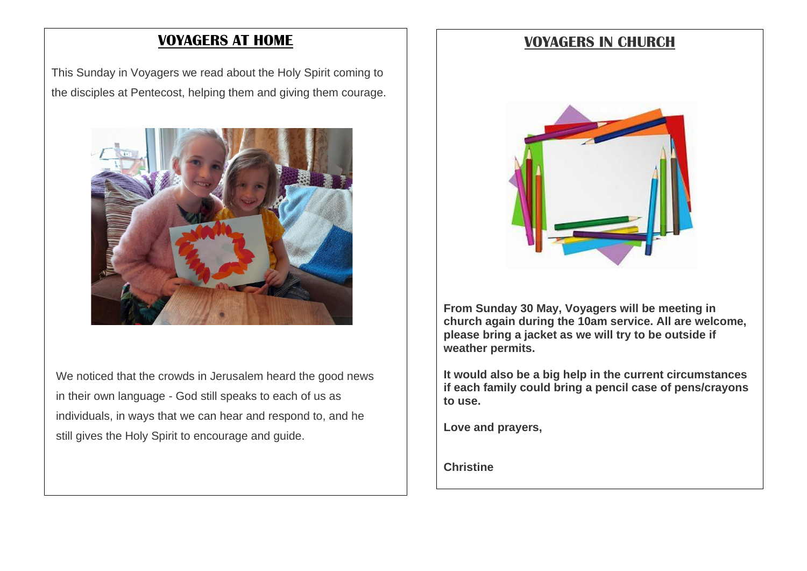#### **VOYAGERS AT HOME**

This Sunday in Voyagers we read about the Holy Spirit coming to the disciples at Pentecost, helping them and giving them courage.



We noticed that the crowds in Jerusalem heard the good news in their own language - God still speaks to each of us as individuals, in ways that we can hear and respond to, and he still gives the Holy Spirit to encourage and guide.

#### **VOYAGERS IN CHURCH**



**From Sunday 30 May, Voyagers will be meeting in church again during the 10am service. All are welcome, please bring a jacket as we will try to be outside if weather permits.** 

**It would also be a big help in the current circumstances if each family could bring a pencil case of pens/crayons to use.**

**Love and prayers,**

**Christine**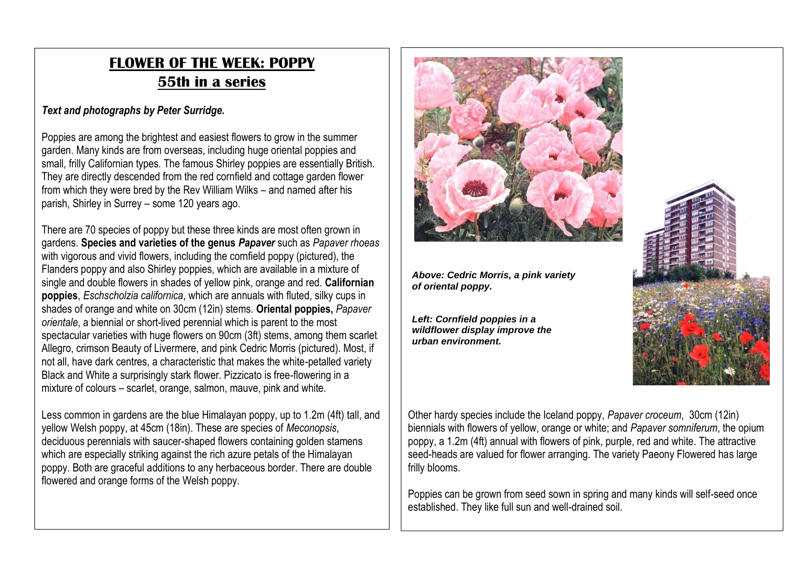# **FLOWER OF THE WEEK: POPPY 55th in a series**

#### *Text and photographs by Peter Surridge.*

Poppies are among the brightest and easiest flowers to grow in the summer garden. Many kinds are from overseas, including huge oriental poppies and small, frilly Californian types. The famous Shirley poppies are essentially British. They are directly descended from the red cornfield and cottage garden flower from which they were bred by the Rev William Wilks – and named after his parish, Shirley in Surrey – some 120 years ago.

There are 70 species of poppy but these three kinds are most often grown in gardens. **Species and varieties of the genus** *Papaver* such as *Papaver rhoeas* with vigorous and vivid flowers, including the cornfield poppy (pictured), the Flanders poppy and also Shirley poppies, which are available in a mixture of single and double flowers in shades of yellow pink, orange and red. **Californian poppies**, *Eschscholzia californica*, which are annuals with fluted, silky cups in shades of orange and white on 30cm (12in) stems. **Oriental poppies,** *Papaver orientale*, a biennial or short-lived perennial which is parent to the most spectacular varieties with huge flowers on 90cm (3ft) stems, among them scarlet Allegro, crimson Beauty of Livermere, and pink Cedric Morris (pictured). Most, if not all, have dark centres, a characteristic that makes the white-petalled variety Black and White a surprisingly stark flower. Pizzicato is free-flowering in a mixture of colours – scarlet, orange, salmon, mauve, pink and white.

Less common in gardens are the blue Himalayan poppy, up to 1.2m (4ft) tall, and yellow Welsh poppy, at 45cm (18in). These are species of *Meconopsis*, deciduous perennials with saucer-shaped flowers containing golden stamens which are especially striking against the rich azure petals of the Himalayan poppy. Both are graceful additions to any herbaceous border. There are double flowered and orange forms of the Welsh poppy.



*Above: Cedric Morris, a pink variety of oriental poppy.*

*Left: Cornfield poppies in a wildflower display improve the urban environment.*



Other hardy species include the Iceland poppy, *Papaver croceum*, 30cm (12in) biennials with flowers of yellow, orange or white; and *Papaver somniferum*, the opium poppy, a 1.2m (4ft) annual with flowers of pink, purple, red and white. The attractive seed-heads are valued for flower arranging. The variety Paeony Flowered has large frilly blooms.

Poppies can be grown from seed sown in spring and many kinds will self-seed once established. They like full sun and well-drained soil.